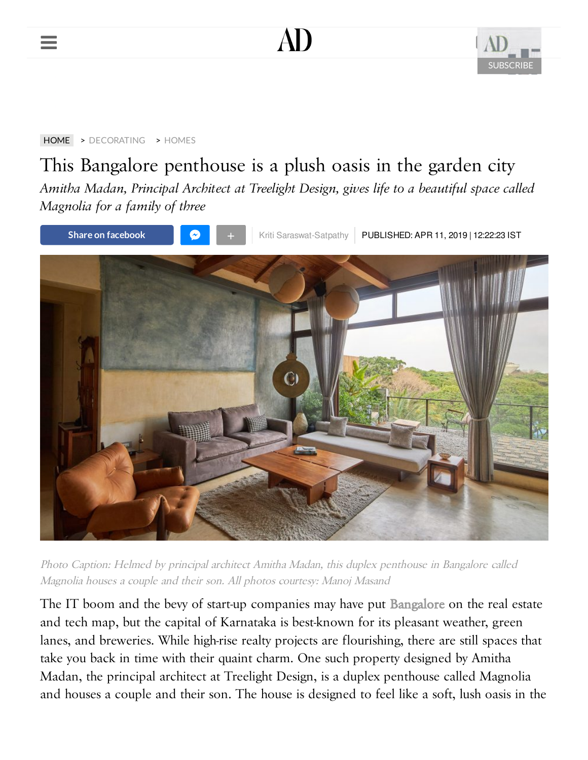





[HOME](https://www.architecturaldigest.in/) > [DECORATING](https://www.architecturaldigest.in/decorating/) > [HOMES](https://www.architecturaldigest.in/decorating/homes/)

# This Bangalore penthouse is a plush oasis in the garden city

*Amitha Madan, Principal Architect at Treelight Design, gives life to a beautiful space called Magnolia for a family of three*



Photo Caption: Helmed by principal architect Amitha Madan, this duplex penthouse in Bangalore called Magnolia houses a couple and their son. All photos courtesy: Manoj Masand

The IT boom and the bevy of start-up companies may have put [Bangalore](https://author.architecturaldigest.in/content/bangalore-courtyard-cafe-creative-community/) on the real estate and tech map, but the capital of Karnataka is best-known for its pleasant weather, green lanes, and breweries. While high-rise realty projects are flourishing, there are still spaces that take you back in time with their quaint charm. One such property designed by Amitha Madan, the principal architect at Treelight Design, is a duplex penthouse called Magnolia and houses a couple and their son. The house is designed to feel like a soft, lush oasis in the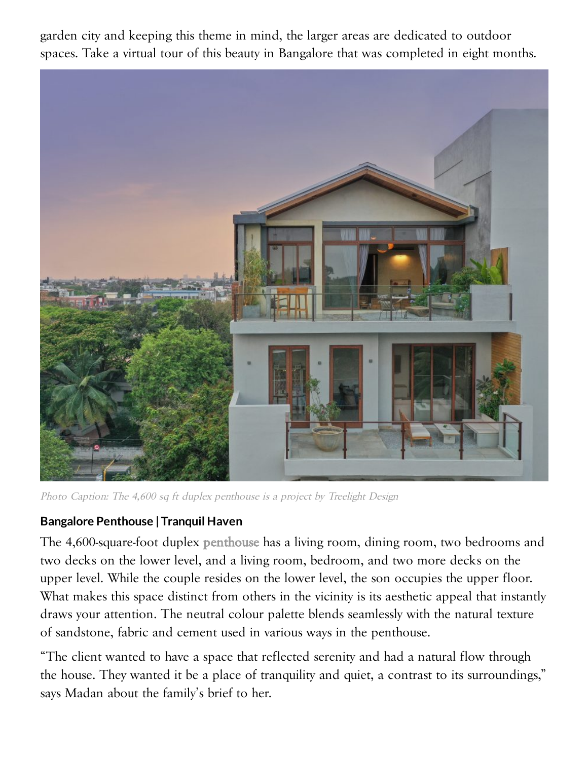garden city and keeping this theme in mind, the larger areas are dedicated to outdoor spaces. Take a virtual tour of this beauty in Bangalore that was completed in eight months.



Photo Caption: The 4,600 sq ft duplex penthouse is a project by Treelight Design

#### **Bangalore Penthouse |Tranquil Haven**

The 4,600-square-foot duplex [penthouse](https://author.architecturaldigest.in/content/bollywood-john-abraham-mumbai-house/) has a living room, dining room, two bedrooms and two decks on the lower level, and a living room, bedroom, and two more decks on the upper level. While the couple resides on the lower level, the son occupies the upper floor. What makes this space distinct from others in the vicinity is its aesthetic appeal that instantly draws your attention. The neutral colour palette blends seamlessly with the natural texture of sandstone, fabric and cement used in various ways in the penthouse.

"The client wanted to have a space that reflected serenity and had a natural flow through the house. They wanted it be a place of tranquility and quiet, a contrast to its surroundings," says Madan about the family's brief to her.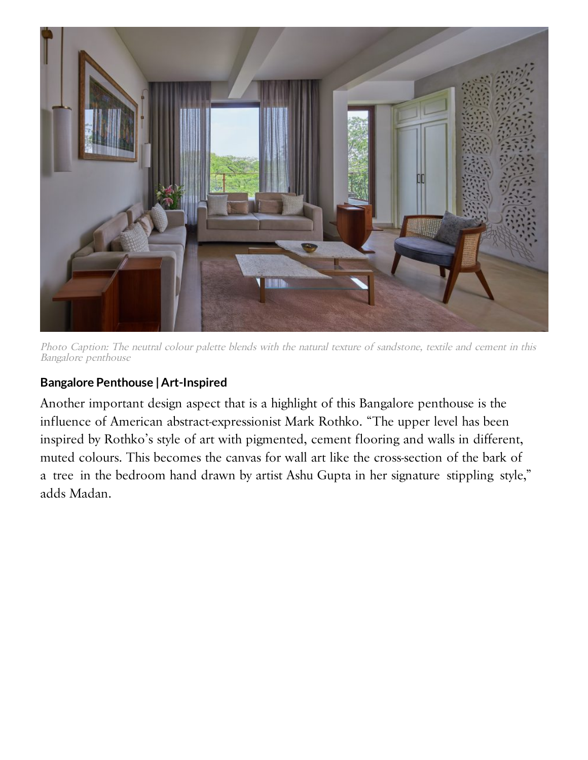

Photo Caption: The neutral colour palette blends with the natural texture of sandstone, textile and cement in this Bangalore penthouse

## **Bangalore Penthouse | Art-Inspired**

Another important design aspect that is a highlight of this Bangalore penthouse is the influence of American abstract-expressionist Mark Rothko. "The upper level has been inspired by Rothko's style of art with pigmented, cement flooring and walls in different, muted colours. This becomes the canvas for wall art like the cross-section of the bark of a tree in the bedroom hand drawn by artist Ashu Gupta in her signature stippling style," adds Madan.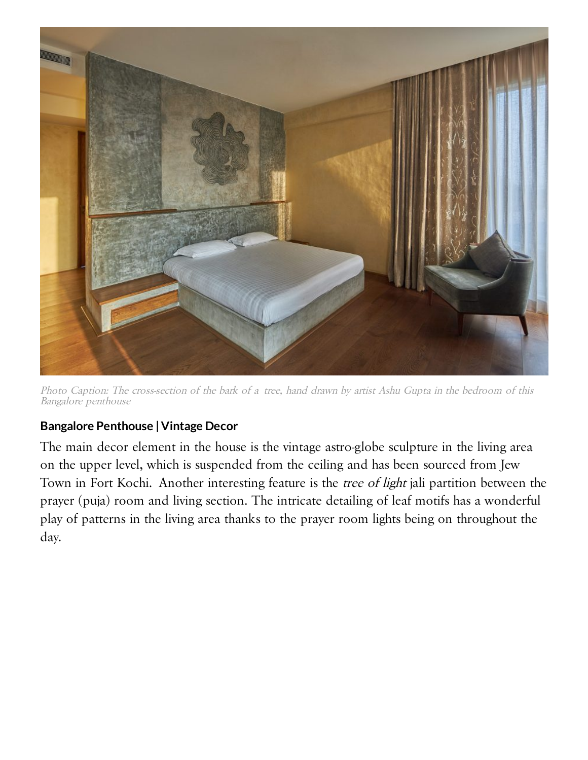

Photo Caption: The cross-section of the bark of a tree, hand drawn by artist Ashu Gupta in the bedroom of this Bangalore penthouse

### **Bangalore Penthouse | Vintage Decor**

The main decor element in the house is the vintage astro-globe sculpture in the living area on the upper level, which is suspended from the ceiling and has been sourced from Jew Town in Fort Kochi. Another interesting feature is the tree of light jali partition between the prayer (puja) room and living section. The intricate detailing of leaf motifs has a wonderful play of patterns in the living area thanks to the prayer room lights being on throughout the day.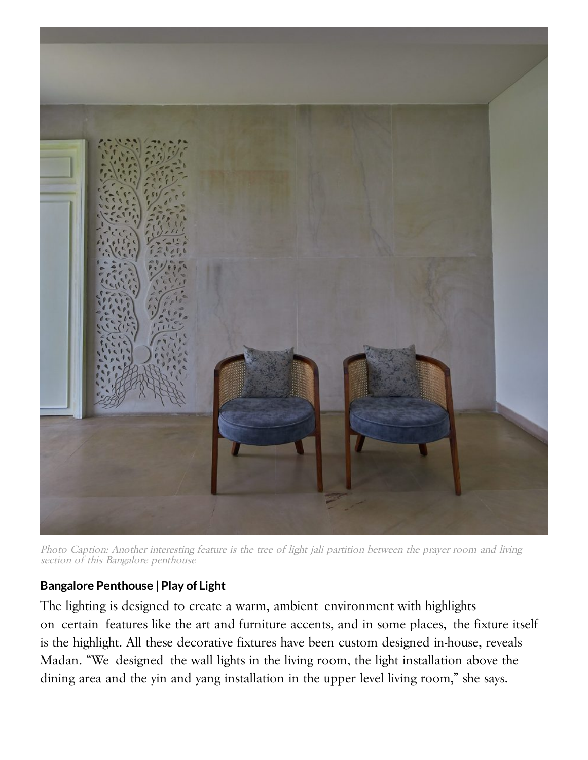

Photo Caption: Another interesting feature is the tree of light jali partition between the prayer room and living section of this Bangalore penthouse

#### **Bangalore Penthouse |Play of Light**

The lighting is designed to create a warm, ambient environment with highlights on certain features like the art and furniture accents, and in some places, the fixture itself is the highlight. All these decorative fixtures have been custom designed in-house, reveals Madan. "We designed the wall lights in the living room, the light installation above the dining area and the yin and yang installation in the upper level living room," she says.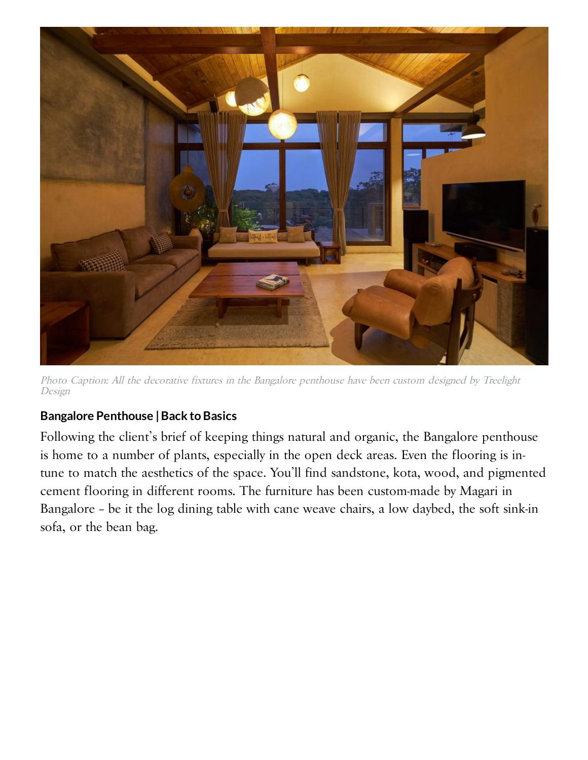

Photo Caption: All the decorative fixtures in the Bangalore penthouse have been custom designed by Treelight Design

## **Bangalore Penthouse | Back to Basics**

Following the client's brief of keeping things natural and organic, the Bangalore penthouse is home to a number of plants, especially in the open deck areas. Even the flooring is intune to match the aesthetics of the space. You'll find sandstone, kota, wood, and pigmented cement flooring in different rooms. The furniture has been custom-made by Magari in Bangalore – be it the log dining table with cane weave chairs, a low daybed, the soft sink-in sofa, or the bean bag.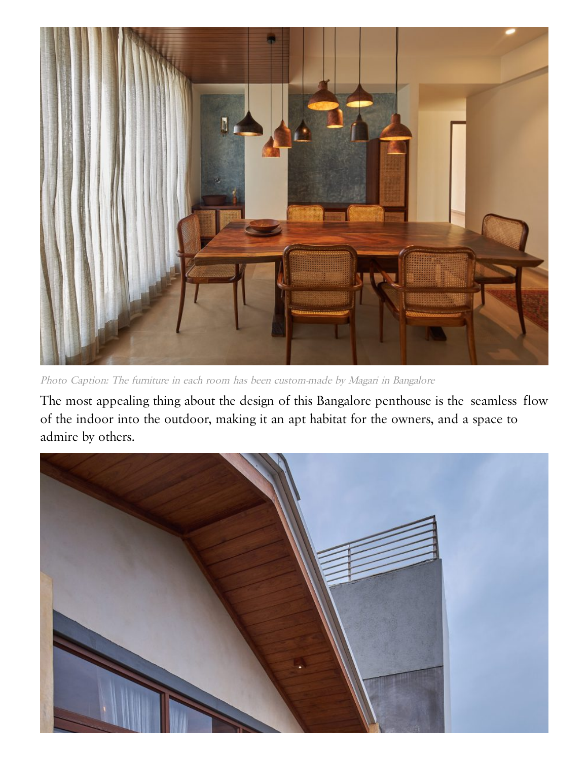

Photo Caption: The furniture in each room has been custom-made by Magari in Bangalore

The most appealing thing about the design of this Bangalore penthouse is the seamless flow of the indoor into the outdoor, making it an apt habitat for the owners, and a space to admire by others.